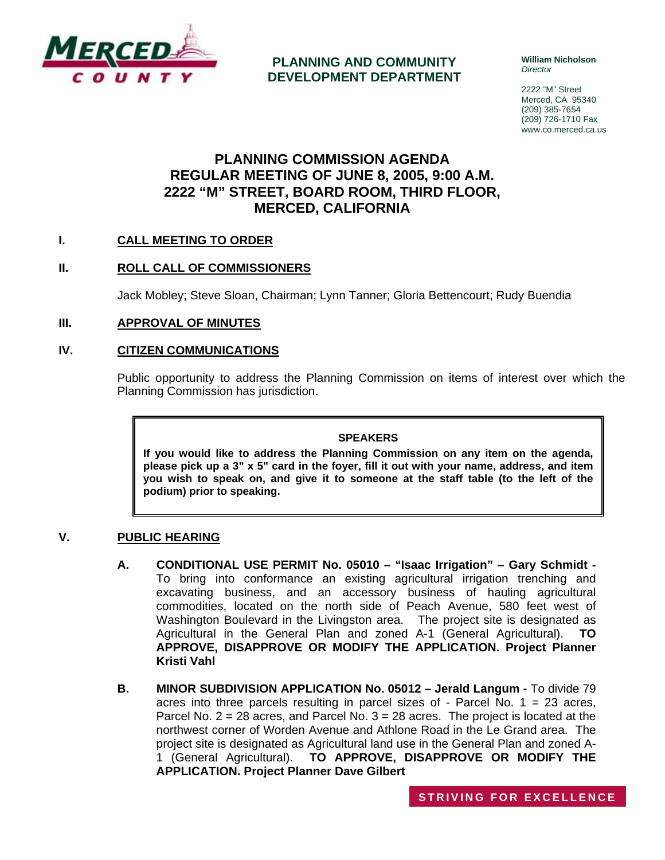

**PLANNING AND COMMUNITY DEVELOPMENT DEPARTMENT** **William Nicholson**  *Director* 

2222 "M" Street Merced, CA 95340 (209) 385-7654 (209) 726-1710 Fax www.co.merced.ca.us

# **PLANNING COMMISSION AGENDA REGULAR MEETING OF JUNE 8, 2005, 9:00 A.M. 2222 "M" STREET, BOARD ROOM, THIRD FLOOR, MERCED, CALIFORNIA**

# **I. CALL MEETING TO ORDER**

# **II. ROLL CALL OF COMMISSIONERS**

Jack Mobley; Steve Sloan, Chairman; Lynn Tanner; Gloria Bettencourt; Rudy Buendia

## **III. APPROVAL OF MINUTES**

## **IV. CITIZEN COMMUNICATIONS**

Public opportunity to address the Planning Commission on items of interest over which the Planning Commission has jurisdiction.

#### **SPEAKERS**

**If you would like to address the Planning Commission on any item on the agenda, please pick up a 3" x 5" card in the foyer, fill it out with your name, address, and item you wish to speak on, and give it to someone at the staff table (to the left of the podium) prior to speaking.**

### **V. PUBLIC HEARING**

- **A. CONDITIONAL USE PERMIT No. 05010 "Isaac Irrigation" Gary Schmidt**  To bring into conformance an existing agricultural irrigation trenching and excavating business, and an accessory business of hauling agricultural commodities, located on the north side of Peach Avenue, 580 feet west of Washington Boulevard in the Livingston area. The project site is designated as Agricultural in the General Plan and zoned A-1 (General Agricultural). **TO APPROVE, DISAPPROVE OR MODIFY THE APPLICATION. Project Planner Kristi Vahl**
- **B. MINOR SUBDIVISION APPLICATION No. 05012 Jerald Langum** To divide 79 acres into three parcels resulting in parcel sizes of - Parcel No. 1 = 23 acres, Parcel No.  $2 = 28$  acres, and Parcel No.  $3 = 28$  acres. The project is located at the northwest corner of Worden Avenue and Athlone Road in the Le Grand area. The project site is designated as Agricultural land use in the General Plan and zoned A-1 (General Agricultural). **TO APPROVE, DISAPPROVE OR MODIFY THE APPLICATION. Project Planner Dave Gilbert**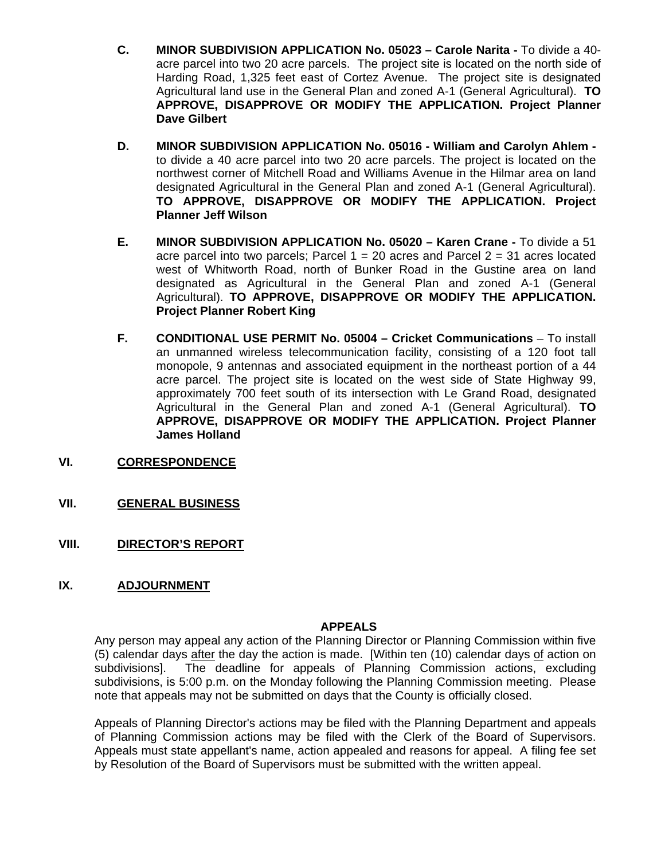- **C. MINOR SUBDIVISION APPLICATION No. 05023 Carole Narita** To divide a 40 acre parcel into two 20 acre parcels. The project site is located on the north side of Harding Road, 1,325 feet east of Cortez Avenue. The project site is designated Agricultural land use in the General Plan and zoned A-1 (General Agricultural). **TO APPROVE, DISAPPROVE OR MODIFY THE APPLICATION. Project Planner Dave Gilbert**
- **D. MINOR SUBDIVISION APPLICATION No. 05016 William and Carolyn Ahlem**  to divide a 40 acre parcel into two 20 acre parcels. The project is located on the northwest corner of Mitchell Road and Williams Avenue in the Hilmar area on land designated Agricultural in the General Plan and zoned A-1 (General Agricultural). **TO APPROVE, DISAPPROVE OR MODIFY THE APPLICATION. Project Planner Jeff Wilson**
- **E. MINOR SUBDIVISION APPLICATION No. 05020 Karen Crane** To divide a 51 acre parcel into two parcels; Parcel  $1 = 20$  acres and Parcel  $2 = 31$  acres located west of Whitworth Road, north of Bunker Road in the Gustine area on land designated as Agricultural in the General Plan and zoned A-1 (General Agricultural). **TO APPROVE, DISAPPROVE OR MODIFY THE APPLICATION. Project Planner Robert King**
- **F. CONDITIONAL USE PERMIT No. 05004 Cricket Communications** To install an unmanned wireless telecommunication facility, consisting of a 120 foot tall monopole, 9 antennas and associated equipment in the northeast portion of a 44 acre parcel. The project site is located on the west side of State Highway 99, approximately 700 feet south of its intersection with Le Grand Road, designated Agricultural in the General Plan and zoned A-1 (General Agricultural). **TO APPROVE, DISAPPROVE OR MODIFY THE APPLICATION. Project Planner James Holland**
- **VI. CORRESPONDENCE**
- **VII. GENERAL BUSINESS**
- **VIII. DIRECTOR'S REPORT**
- **IX. ADJOURNMENT**

# **APPEALS**

Any person may appeal any action of the Planning Director or Planning Commission within five (5) calendar days after the day the action is made. [Within ten (10) calendar days of action on subdivisions]. The deadline for appeals of Planning Commission actions, excluding subdivisions, is 5:00 p.m. on the Monday following the Planning Commission meeting. Please note that appeals may not be submitted on days that the County is officially closed.

Appeals of Planning Director's actions may be filed with the Planning Department and appeals of Planning Commission actions may be filed with the Clerk of the Board of Supervisors. Appeals must state appellant's name, action appealed and reasons for appeal. A filing fee set by Resolution of the Board of Supervisors must be submitted with the written appeal.